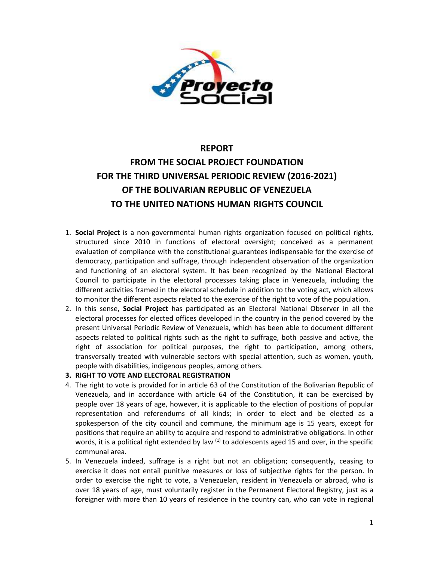

# **REPORT FROM THE SOCIAL PROJECT FOUNDATION FOR THE THIRD UNIVERSAL PERIODIC REVIEW (2016-2021) OF THE BOLIVARIAN REPUBLIC OF VENEZUELA**

## **TO THE UNITED NATIONS HUMAN RIGHTS COUNCIL**

- 1. **Social Project** is <sup>a</sup> non-governmental human rights organization focused on political rights, structured since 2010 in functions of electoral oversight; conceived as <sup>a</sup> permanent evaluation of compliance with the constitutional guarantees indispensable for the exercise of democracy, participation and suffrage, through independent observation of the organization and functioning of an electoral system. It has been recognized by the National Electoral Council to participate in the electoral processes taking place in Venezuela, including the different activities framed in the electoral schedule in addition to the voting act, which allows to monitor the different aspects related to the exercise of the right to vote of the population.
- 2. In this sense, **Social Project** has participated as an Electoral National Observer in all the electoral processes for elected offices developed in the country in the period covered by the present Universal Periodic Review of Venezuela, which has been able to document different aspects related to political rights such as the right to suffrage, both passive and active, the right of association for political purposes, the right to participation, among others, transversally treated with vulnerable sectors with special attention, such as women, youth, people with disabilities, indigenous peoples, among others.
- **3. RIGHT TO VOTE AND ELECTORAL REGISTRATION**
- 4. The right to vote is provided for in article 63 of the Constitution of the Bolivarian Republic of Venezuela, and in accordance with article 64 of the Constitution, it can be exercised by people over 18 years of age, however, it is applicable to the election of positions of popular representation and referendums of all kinds; in order to elect and be elected as <sup>a</sup> spokesperson of the city council and commune, the minimum age is 15 years, except for positions that require an ability to acquire and respond to administrative obligations. In other words, it is a political right extended by law  $^{(1)}$  to adolescents aged 15 and over, in the specific communal area.
- 5. In Venezuela indeed, suffrage is <sup>a</sup> right but not an obligation; consequently, ceasing to exercise it does not entail punitive measures or loss of subjective rights for the person. In order to exercise the right to vote, <sup>a</sup> Venezuelan, resident in Venezuela or abroad, who is over 18 years of age, must voluntarily register in the Permanent Electoral Registry, just as <sup>a</sup> foreigner with more than 10 years of residence in the country can, who can vote in regional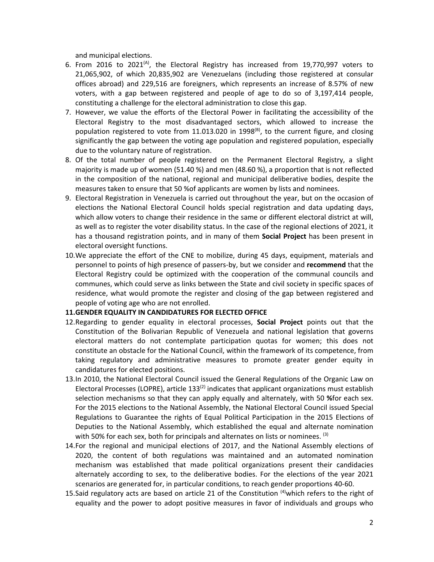and municipal elections.

- 6. From 2016 to 2021 $^{(A)}$ , the Electoral Registry has increased from 19,770,997 voters to 21,065,902, of which 20,835,902 are Venezuelans (including those registered at consular offices abroad) and 229,516 are foreigners, which represents an increase of 8.57% of new voters, with <sup>a</sup> gap between registered and people of age to do so of 3,197,414 people, constituting <sup>a</sup> challenge for the electoral administration to close this gap.
- 7. However, we value the efforts of the Electoral Power in facilitating the accessibility of the Electoral Registry to the most disadvantaged sectors, which allowed to increase the population registered to vote from 11.013.020 in 1998<sup>(B)</sup>, to the current figure, and closing significantly the gap between the voting age population and registered population, especially due to the voluntary nature of registration.
- 8. Of the total number of people registered on the Permanent Electoral Registry, <sup>a</sup> slight majority is made up of women (51.40 %) and men (48.60 %), <sup>a</sup> proportion that is not reflected in the composition of the national, regional and municipal deliberative bodies, despite the measures taken to ensure that 50 %of applicants are women by lists and nominees.
- 9. Electoral Registration in Venezuela is carried out throughout the year, but on the occasion of elections the National Electoral Council holds special registration and data updating days, which allow voters to change their residence in the same or different electoral district at will, as well as to register the voter disability status. In the case of the regional elections of 2021, it has <sup>a</sup> thousand registration points, and in many of them **Social Project** has been present in electoral oversight functions.
- 10.We appreciate the effort of the CNE to mobilize, during 45 days, equipment, materials and personnel to points of high presence of passers-by, but we consider and **recommend** that the Electoral Registry could be optimized with the cooperation of the communal councils and communes, which could serve as links between the State and civil society in specific spaces of residence, what would promote the register and closing of the gap between registered and people of voting age who are not enrolled.

### **11.GENDER EQUALITY IN CANDIDATURES FOR ELECTED OFFICE**

- 12.Regarding to gender equality in electoral processes, **Social Project** points out that the Constitution of the Bolivarian Republic of Venezuela and national legislation that governs electoral matters do not contemplate participation quotas for women; this does not constitute an obstacle for the National Council, within the framework of its competence, from taking regulatory and administrative measures to promote greater gender equity in candidatures for elected positions.
- 13.In 2010, the National Electoral Council issued the General Regulations of the Organic Law on Electoral Processes (LOPRE), article 133<sup>(2)</sup> indicates that applicant organizations must establish selection mechanisms so that they can apply equally and alternately, with 50 **%**for each sex. For the 2015 elections to the National Assembly, the National Electoral Council issued Special Regulations to Guarantee the rights of Equal Political Participation in the 2015 Elections of Deputies to the National Assembly, which established the equal and alternate nomination with 50% for each sex, both for principals and alternates on lists or nominees. <sup>(3)</sup>
- 14.For the regional and municipal elections of 2017, and the National Assembly elections of 2020, the content of both regulations was maintained and an automated nomination mechanism was established that made political organizations present their candidacies alternately according to sex, to the deliberative bodies. For the elections of the year 2021 scenarios are generated for, in particular conditions, to reach gender proportions 40-60.
- 15.Said regulatory acts are based on article 21 of the Constitution <sup>(4)</sup>which refers to the right of equality and the power to adopt positive measures in favor of individuals and groups who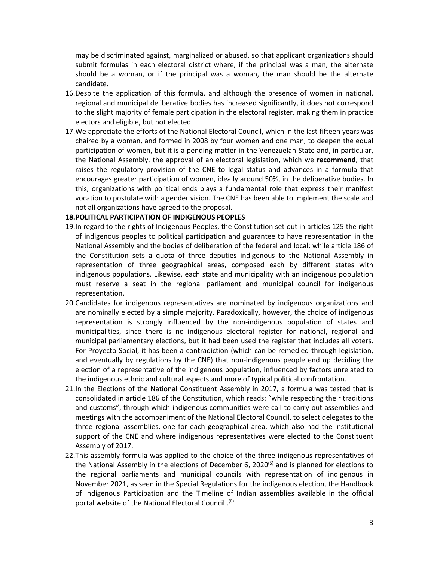may be discriminated against, marginalized or abused, so that applicant organizations should submit formulas in each electoral district where, if the principal was <sup>a</sup> man, the alternate should be <sup>a</sup> woman, or if the principal was <sup>a</sup> woman, the man should be the alternate candidate.

- 16.Despite the application of this formula, and although the presence of women in national, regional and municipal deliberative bodies has increased significantly, it does not correspond to the slight majority of female participation in the electoral register, making them in practice electors and eligible, but not elected.
- 17.We appreciate the efforts of the National Electoral Council, which in the last fifteen years was chaired by <sup>a</sup> woman, and formed in 2008 by four women and one man, to deepen the equal participation of women, but it is <sup>a</sup> pending matter in the Venezuelan State and, in particular, the National Assembly, the approval of an electoral legislation, which we **recommend**, that raises the regulatory provision of the CNE to legal status and advances in <sup>a</sup> formula that encourages greater participation of women, ideally around 50%, in the deliberative bodies. In this, organizations with political ends plays <sup>a</sup> fundamental role that express their manifest vocation to postulate with <sup>a</sup> gender vision. The CNE has been able to implement the scale and not all organizations have agreed to the proposal.

### **18.POLITICAL PARTICIPATION OF INDIGENOUS PEOPLES**

- 19.In regard to the rights of Indigenous Peoples, the Constitution set out in articles 125 the right of indigenous peoples to political participation and guarantee to have representation in the National Assembly and the bodies of deliberation of the federal and local; while article 186 of the Constitution sets <sup>a</sup> quota of three deputies indigenous to the National Assembly in representation of three geographical areas, composed each by different states with indigenous populations. Likewise, each state and municipality with an indigenous population must reserve <sup>a</sup> seat in the regional parliament and municipal council for indigenous representation.
- 20.Candidates for indigenous representatives are nominated by indigenous organizations and are nominally elected by <sup>a</sup> simple majority. Paradoxically, however, the choice of indigenous representation is strongly influenced by the non-indigenous population of states and municipalities, since there is no indigenous electoral register for national, regional and municipal parliamentary elections, but it had been used the register that includes all voters. For Proyecto Social, it has been <sup>a</sup> contradiction (which can be remedied through legislation, and eventually by regulations by the CNE) that non-indigenous people end up deciding the election of <sup>a</sup> representative of the indigenous population, influenced by factors unrelated to the indigenous ethnic and cultural aspects and more of typical political confrontation.
- 21.In the Elections of the National Constituent Assembly in 2017, <sup>a</sup> formula was tested that is consolidated in article 186 of the Constitution, which reads: "while respecting their traditions and customs", through which indigenous communities were call to carry out assemblies and meetings with the accompaniment of the National Electoral Council, to select delegates to the three regional assemblies, one for each geographical area, which also had the institutional support of the CNE and where indigenous representatives were elected to the Constituent Assembly of 2017.
- 22.This assembly formula was applied to the choice of the three indigenous representatives of the National Assembly in the elections of December 6, 2020<sup>(5)</sup> and is planned for elections to the regional parliaments and municipal councils with representation of indigenous in November 2021, as seen in the Special Regulations for the indigenous election, the Handbook of Indigenous Participation and the Timeline of Indian assemblies available in the official <sup>6)</sup>. portal website of the National Electoral Council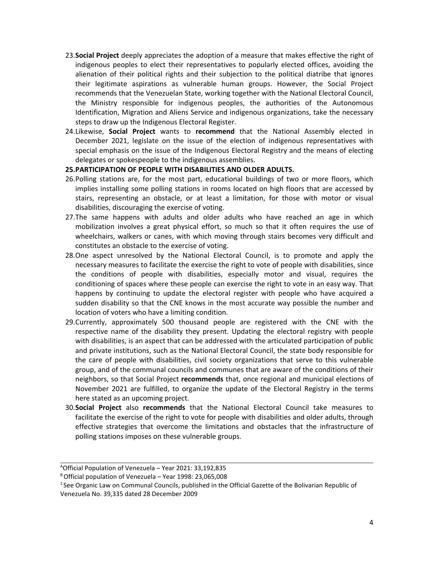- 23.**Social Project** deeply appreciates the adoption of <sup>a</sup> measure that makes effective the right of indigenous peoples to elect their representatives to popularly elected offices, avoiding the alienation of their political rights and their subjection to the political diatribe that ignores their legitimate aspirations as vulnerable human groups. However, the Social Project recommends that the Venezuelan State, working together with the National Electoral Council, the Ministry responsible for indigenous peoples, the authorities of the Autonomous Identification, Migration and Aliens Service and indigenous organizations, take the necessary steps to draw up the Indigenous Electoral Register.
- 24.Likewise, **Social Project** wants to **recommend** that the National Assembly elected in December 2021, legislate on the issue of the election of indigenous representatives with special emphasis on the issue of the Indigenous Electoral Registry and the means of electing delegates or spokespeople to the indigenous assemblies.

### **25.PARTICIPATION OF PEOPLE WITH DISABILITIES AND OLDER ADULTS.**

- 26.Polling stations are, for the most part, educational buildings of two or more floors, which implies installing some polling stations in rooms located on high floors that are accessed by stairs, representing an obstacle, or at least <sup>a</sup> limitation, for those with motor or visual disabilities, discouraging the exercise of voting.
- 27.The same happens with adults and older adults who have reached an age in which mobilization involves <sup>a</sup> great physical effort, so much so that it often requires the use of wheelchairs, walkers or canes, with which moving through stairs becomes very difficult and constitutes an obstacle to the exercise of voting.
- 28.One aspect unresolved by the National Electoral Council, is to promote and apply the necessary measures to facilitate the exercise the right to vote of people with disabilities, since the conditions of people with disabilities, especially motor and visual, requires the conditioning of spaces where these people can exercise the right to vote in an easy way. That happens by continuing to update the electoral register with people who have acquired <sup>a</sup> sudden disability so that the CNE knows in the most accurate way possible the number and location of voters who have <sup>a</sup> limiting condition.
- 29.Currently, approximately 500 thousand people are registered with the CNE with the respective name of the disability they present. Updating the electoral registry with people with disabilities, is an aspect that can be addressed with the articulated participation of public and private institutions, such as the National Electoral Council, the state body responsible for the care of people with disabilities, civil society organizations that serve to this vulnerable group, and of the communal councils and communes that are aware of the conditions of their neighbors, so that Social Project **recommends** that, once regional and municipal elections of November 2021 are fulfilled, to organize the update of the Electoral Registry in the terms here stated as an upcoming project.
- 30.**Social Project** also **recommends** that the National Electoral Council take measures to facilitate the exercise of the right to vote for people with disabilities and older adults, through effective strategies that overcome the limitations and obstacles that the infrastructure of polling stations imposes on these vulnerable groups.

A Official Population of Venezuela – Year 2021: 33,192,835

B Official population of Venezuela – Year 1998: 23,065,008

<sup>1</sup> See Organic Law on Communal Councils, published in the Official Gazette of the Bolivarian Republic of Venezuela No. 39,335 dated 28 December 2009